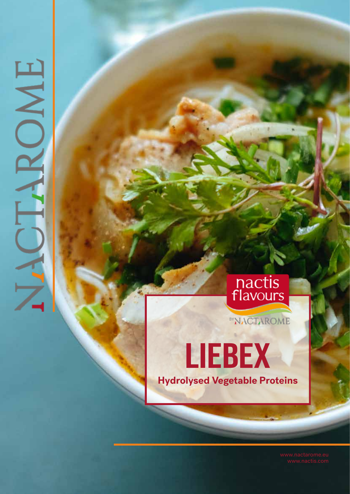# OME

# nactis<br>flavours

**BYNACTAROME** 

LIEBEX **Hydrolysed Vegetable Proteins**